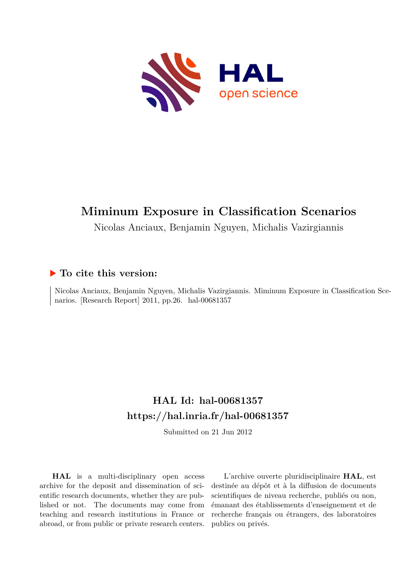

# **Miminum Exposure in Classification Scenarios**

Nicolas Anciaux, Benjamin Nguyen, Michalis Vazirgiannis

## **To cite this version:**

Nicolas Anciaux, Benjamin Nguyen, Michalis Vazirgiannis. Miminum Exposure in Classification Scenarios. [Research Report] 2011, pp.26. hal-00681357

## **HAL Id: hal-00681357 <https://hal.inria.fr/hal-00681357>**

Submitted on 21 Jun 2012

**HAL** is a multi-disciplinary open access archive for the deposit and dissemination of scientific research documents, whether they are published or not. The documents may come from teaching and research institutions in France or abroad, or from public or private research centers.

L'archive ouverte pluridisciplinaire **HAL**, est destinée au dépôt et à la diffusion de documents scientifiques de niveau recherche, publiés ou non, émanant des établissements d'enseignement et de recherche français ou étrangers, des laboratoires publics ou privés.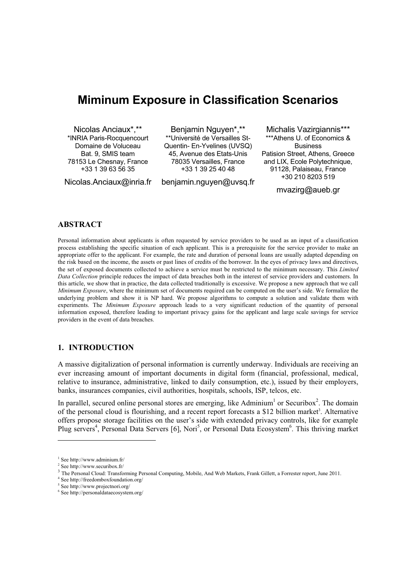## **Miminum Exposure in Classification Scenarios**

Nicolas Anciaux\*,\*\* \*INRIA Paris-Rocquencourt Domaine de Voluceau Bat. 9, SMIS team 78153 Le Chesnay, France +33 1 39 63 56 35

Nicolas.Anciaux@inria.fr

Benjamin Nguyen\*,\*\* \*\*Université de Versailles St-Quentin- En-Yvelines (UVSQ) 45, Avenue des Etats-Unis 78035 Versailles, France +33 1 39 25 40 48

benjamin.nguyen@uvsq.fr

Michalis Vazirgiannis\*\*\* \*\*\*Athens U. of Economics & Business Patision Street, Athens, Greece and LIX, Ecole Polytechnique, 91128, Palaiseau, France +30 210 8203 519

mvazirg@aueb.gr

## **ABSTRACT**

Personal information about applicants is often requested by service providers to be used as an input of a classification process establishing the specific situation of each applicant. This is a prerequisite for the service provider to make an appropriate offer to the applicant. For example, the rate and duration of personal loans are usually adapted depending on the risk based on the income, the assets or past lines of credits of the borrower. In the eyes of privacy laws and directives, the set of exposed documents collected to achieve a service must be restricted to the minimum necessary. This *Limited Data Collection* principle reduces the impact of data breaches both in the interest of service providers and customers. In this article, we show that in practice, the data collected traditionally is excessive. We propose a new approach that we call *Minimum Exposure*, where the minimum set of documents required can be computed on the user's side. We formalize the underlying problem and show it is NP hard. We propose algorithms to compute a solution and validate them with experiments. The *Minimum Exposure* approach leads to a very significant reduction of the quantity of personal information exposed, therefore leading to important privacy gains for the applicant and large scale savings for service providers in the event of data breaches.

## **1. INTRODUCTION**

A massive digitalization of personal information is currently underway. Individuals are receiving an ever increasing amount of important documents in digital form (financial, professional, medical, relative to insurance, administrative, linked to daily consumption, etc.), issued by their employers, banks, insurances companies, civil authorities, hospitals, schools, ISP, telcos, etc.

In parallel, secured online personal stores are emerging, like Adminium<sup>1</sup> or Securibox<sup>2</sup>. The domain of the personal cloud is flourishing, and a recent report forecasts a \$12 billion market<sup>3</sup>. Alternative offers propose storage facilities on the user's side with extended privacy controls, like for example Plug servers<sup>4</sup>, Personal Data Servers [6], Nori<sup>5</sup>, or Personal Data Ecosystem<sup>6</sup>. This thriving market

1

<sup>1</sup> See http://www.adminium.fr/

<sup>2</sup> See http://www.securibox.fr/

<sup>&</sup>lt;sup>3</sup> The Personal Cloud: Transforming Personal Computing, Mobile, And Web Markets, Frank Gillett, a Forrester report, June 2011.

<sup>4</sup> See http://freedomboxfoundation.org/

<sup>5</sup> See http://www.projectnori.org/

<sup>6</sup> See http://personaldataecosystem.org/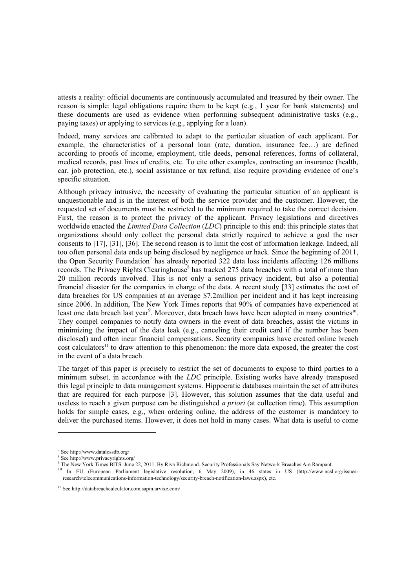attests a reality: official documents are continuously accumulated and treasured by their owner. The reason is simple: legal obligations require them to be kept (e.g., 1 year for bank statements) and these documents are used as evidence when performing subsequent administrative tasks (e.g., paying taxes) or applying to services (e.g., applying for a loan).

Indeed, many services are calibrated to adapt to the particular situation of each applicant. For example, the characteristics of a personal loan (rate, duration, insurance fee…) are defined according to proofs of income, employment, title deeds, personal references, forms of collateral, medical records, past lines of credits, etc. To cite other examples, contracting an insurance (health, car, job protection, etc.), social assistance or tax refund, also require providing evidence of one's specific situation.

Although privacy intrusive, the necessity of evaluating the particular situation of an applicant is unquestionable and is in the interest of both the service provider and the customer. However, the requested set of documents must be restricted to the minimum required to take the correct decision. First, the reason is to protect the privacy of the applicant. Privacy legislations and directives worldwide enacted the *Limited Data Collection* (*LDC*) principle to this end: this principle states that organizations should only collect the personal data strictly required to achieve a goal the user consents to [17], [31], [36]. The second reason is to limit the cost of information leakage. Indeed, all too often personal data ends up being disclosed by negligence or hack. Since the beginning of 2011, the Open Security Foundation<sup>7</sup> has already reported 322 data loss incidents affecting 126 millions records. The Privacy Rights Clearinghouse<sup>8</sup> has tracked 275 data breaches with a total of more than 20 million records involved. This is not only a serious privacy incident, but also a potential financial disaster for the companies in charge of the data. A recent study [33] estimates the cost of data breaches for US companies at an average \$7.2million per incident and it has kept increasing since 2006. In addition, The New York Times reports that 90% of companies have experienced at least one data breach last year<sup>9</sup>. Moreover, data breach laws have been adopted in many countries<sup>10</sup>. They compel companies to notify data owners in the event of data breaches, assist the victims in minimizing the impact of the data leak (e.g., canceling their credit card if the number has been disclosed) and often incur financial compensations. Security companies have created online breach cost calculators<sup>11</sup> to draw attention to this phenomenon: the more data exposed, the greater the cost in the event of a data breach.

The target of this paper is precisely to restrict the set of documents to expose to third parties to a minimum subset, in accordance with the *LDC* principle. Existing works have already transposed this legal principle to data management systems. Hippocratic databases maintain the set of attributes that are required for each purpose [3]. However, this solution assumes that the data useful and useless to reach a given purpose can be distinguished *a priori* (at collection time). This assumption holds for simple cases, e.g., when ordering online, the address of the customer is mandatory to deliver the purchased items. However, it does not hold in many cases. What data is useful to come

-

<sup>7</sup> See http://www.datalossdb.org/

<sup>8</sup> See http://www.privacyrights.org/

<sup>9</sup> The New York Times BITS. June 22, 2011. By Riva Richmond. Security Professionals Say Network Breaches Are Rampant.

<sup>10</sup> In EU (European Parliament legislative resolution, 6 May 2009), in 46 states in US (http://www.ncsl.org/issuesresearch/telecommunications-information-technology/security-breach-notification-laws.aspx), etc.

<sup>&</sup>lt;sup>11</sup> See http://databreachcalculator.com.sapin.arvixe.com/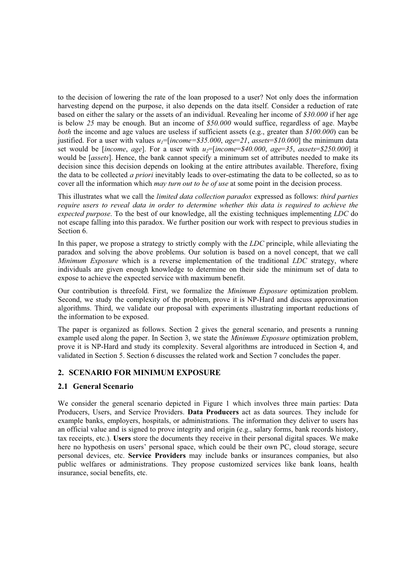to the decision of lowering the rate of the loan proposed to a user? Not only does the information harvesting depend on the purpose, it also depends on the data itself. Consider a reduction of rate based on either the salary or the assets of an individual. Revealing her income of *\$30.000* if her age is below *25* may be enough. But an income of *\$50.000* would suffice, regardless of age. Maybe *both* the income and age values are useless if sufficient assets (e.g., greater than *\$100.000*) can be justified. For a user with values  $u_1$ =[*income=\$35.000*,  $age=21$ ,  $assets=$10.000$ ] the minimum data set would be [*income*, *age*]. For a user with  $u_2$ =[*income*=\$40.000, *age*=35, *assets*=\$250.000] it would be [*assets*]. Hence, the bank cannot specify a minimum set of attributes needed to make its decision since this decision depends on looking at the entire attributes available. Therefore, fixing the data to be collected *a priori* inevitably leads to over-estimating the data to be collected, so as to cover all the information which *may turn out to be of use* at some point in the decision process.

This illustrates what we call the *limited data collection paradox* expressed as follows: *third parties require users to reveal data in order to determine whether this data is required to achieve the expected purpose*. To the best of our knowledge, all the existing techniques implementing *LDC* do not escape falling into this paradox. We further position our work with respect to previous studies in Section 6.

In this paper, we propose a strategy to strictly comply with the *LDC* principle, while alleviating the paradox and solving the above problems. Our solution is based on a novel concept, that we call *Minimum Exposure* which is a reverse implementation of the traditional *LDC* strategy, where individuals are given enough knowledge to determine on their side the minimum set of data to expose to achieve the expected service with maximum benefit.

Our contribution is threefold. First, we formalize the *Minimum Exposure* optimization problem. Second, we study the complexity of the problem, prove it is NP-Hard and discuss approximation algorithms. Third, we validate our proposal with experiments illustrating important reductions of the information to be exposed.

The paper is organized as follows. Section 2 gives the general scenario, and presents a running example used along the paper. In Section 3, we state the *Minimum Exposure* optimization problem, prove it is NP-Hard and study its complexity. Several algorithms are introduced in Section 4, and validated in Section 5. Section 6 discusses the related work and Section 7 concludes the paper.

## **2. SCENARIO FOR MINIMUM EXPOSURE**

## **2.1 General Scenario**

We consider the general scenario depicted in Figure 1 which involves three main parties: Data Producers, Users, and Service Providers. **Data Producers** act as data sources. They include for example banks, employers, hospitals, or administrations. The information they deliver to users has an official value and is signed to prove integrity and origin (e.g., salary forms, bank records history, tax receipts, etc.). **Users** store the documents they receive in their personal digital spaces. We make here no hypothesis on users' personal space, which could be their own PC, cloud storage, secure personal devices, etc. **Service Providers** may include banks or insurances companies, but also public welfares or administrations. They propose customized services like bank loans, health insurance, social benefits, etc.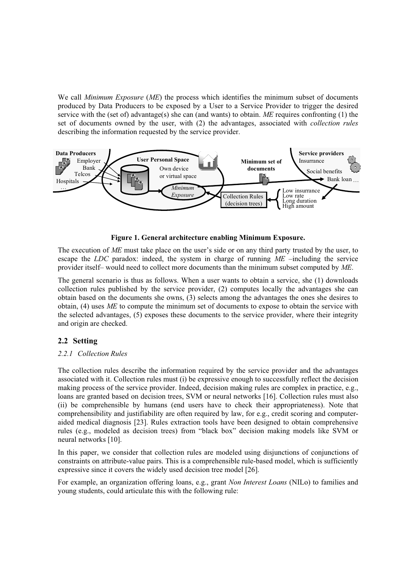We call *Minimum Exposure* (*ME*) the process which identifies the minimum subset of documents produced by Data Producers to be exposed by a User to a Service Provider to trigger the desired service with the (set of) advantage(s) she can (and wants) to obtain. *ME* requires confronting (1) the set of documents owned by the user, with (2) the advantages, associated with *collection rules* describing the information requested by the service provider.



**Figure 1. General architecture enabling Minimum Exposure.** 

The execution of *ME* must take place on the user's side or on any third party trusted by the user, to escape the *LDC* paradox: indeed, the system in charge of running *ME* –including the service provider itself– would need to collect more documents than the minimum subset computed by *ME*.

The general scenario is thus as follows. When a user wants to obtain a service, she (1) downloads collection rules published by the service provider, (2) computes locally the advantages she can obtain based on the documents she owns, (3) selects among the advantages the ones she desires to obtain, (4) uses *ME* to compute the minimum set of documents to expose to obtain the service with the selected advantages, (5) exposes these documents to the service provider, where their integrity and origin are checked.

## **2.2 Setting**

## *2.2.1 Collection Rules*

The collection rules describe the information required by the service provider and the advantages associated with it. Collection rules must (i) be expressive enough to successfully reflect the decision making process of the service provider. Indeed, decision making rules are complex in practice, e.g., loans are granted based on decision trees, SVM or neural networks [16]. Collection rules must also (ii) be comprehensible by humans (end users have to check their appropriateness). Note that comprehensibility and justifiability are often required by law, for e.g., credit scoring and computeraided medical diagnosis [23]. Rules extraction tools have been designed to obtain comprehensive rules (e.g., modeled as decision trees) from "black box" decision making models like SVM or neural networks [10].

In this paper, we consider that collection rules are modeled using disjunctions of conjunctions of constraints on attribute-value pairs. This is a comprehensible rule-based model, which is sufficiently expressive since it covers the widely used decision tree model [26].

For example, an organization offering loans, e.g., grant *Non Interest Loans* (NILo) to families and young students, could articulate this with the following rule: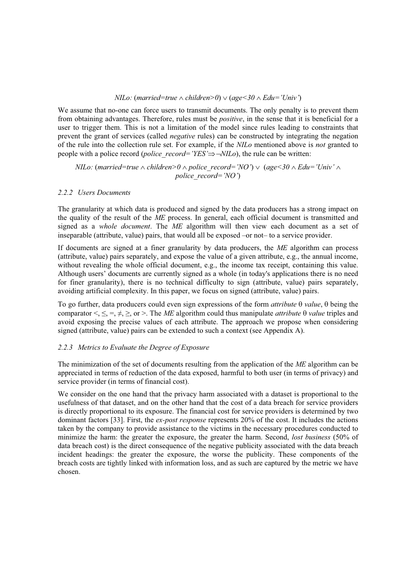#### *NILo:* (*married=true*  $\land$  *children>0*)  $\lor$  (*age* < 30  $\land$  *Edu* = '*Univ*')

We assume that no-one can force users to transmit documents. The only penalty is to prevent them from obtaining advantages. Therefore, rules must be *positive*, in the sense that it is beneficial for a user to trigger them. This is not a limitation of the model since rules leading to constraints that prevent the grant of services (called *negative* rules) can be constructed by integrating the negation of the rule into the collection rule set. For example, if the *NILo* mentioned above is *not* granted to people with a police record (*police record='YES'* $\Rightarrow \neg NILo$ ), the rule can be written:

*NILo:* (*married=true*  $\land$  *children* $>0 \land$  *police record='NO'*)  $\lor$  (*age* $\lt 30 \land$  *Edu='Univ'*  $\land$ *police\_record='NO'*)

#### *2.2.2 Users Documents*

The granularity at which data is produced and signed by the data producers has a strong impact on the quality of the result of the *ME* process. In general, each official document is transmitted and signed as a *whole document*. The *ME* algorithm will then view each document as a set of inseparable (attribute, value) pairs, that would all be exposed –or not– to a service provider.

If documents are signed at a finer granularity by data producers, the *ME* algorithm can process (attribute, value) pairs separately, and expose the value of a given attribute, e.g., the annual income, without revealing the whole official document, e.g., the income tax receipt, containing this value. Although users' documents are currently signed as a whole (in today's applications there is no need for finer granularity), there is no technical difficulty to sign (attribute, value) pairs separately, avoiding artificial complexity. In this paper, we focus on signed (attribute, value) pairs.

To go further, data producers could even sign expressions of the form *attribute*  $\theta$  *value*,  $\theta$  being the comparator  $\leq, \leq, \neq, \geq, \text{ or } \geq$ . The *ME* algorithm could thus manipulate *attribute*  $\theta$  *value* triples and avoid exposing the precise values of each attribute. The approach we propose when considering signed (attribute, value) pairs can be extended to such a context (see Appendix A).

## *2.2.3 Metrics to Evaluate the Degree of Exposure*

The minimization of the set of documents resulting from the application of the *ME* algorithm can be appreciated in terms of reduction of the data exposed, harmful to both user (in terms of privacy) and service provider (in terms of financial cost).

We consider on the one hand that the privacy harm associated with a dataset is proportional to the usefulness of that dataset, and on the other hand that the cost of a data breach for service providers is directly proportional to its exposure. The financial cost for service providers is determined by two dominant factors [33]. First, the *ex-post response* represents 20% of the cost. It includes the actions taken by the company to provide assistance to the victims in the necessary procedures conducted to minimize the harm: the greater the exposure, the greater the harm. Second, *lost business* (50% of data breach cost) is the direct consequence of the negative publicity associated with the data breach incident headings: the greater the exposure, the worse the publicity. These components of the breach costs are tightly linked with information loss, and as such are captured by the metric we have chosen.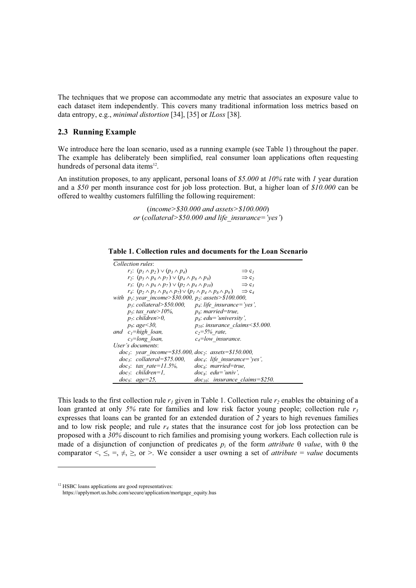The techniques that we propose can accommodate any metric that associates an exposure value to each dataset item independently. This covers many traditional information loss metrics based on data entropy, e.g., *minimal distortion* [34], [35] or *ILoss* [38].

## **2.3 Running Example**

We introduce here the loan scenario, used as a running example (see Table 1) throughout the paper. The example has deliberately been simplified, real consumer loan applications often requesting hundreds of personal data items $^{12}$ .

An institution proposes, to any applicant, personal loans of *\$5.000* at *10%* rate with *1* year duration and a *\$50* per month insurance cost for job loss protection. But, a higher loan of *\$10.000* can be offered to wealthy customers fulfilling the following requirement:

> (*income>\$30.000 and assets>\$100.000*) *or* (*collateral>\$50.000 and life\_insurance='yes'*)

| Table 1. Collection rules and documents for the Loan Scenario |  |  |
|---------------------------------------------------------------|--|--|
|---------------------------------------------------------------|--|--|

| Collection rules:                                                                            |                                        |  |  |  |  |  |  |
|----------------------------------------------------------------------------------------------|----------------------------------------|--|--|--|--|--|--|
| $r_1$ : $(p_1 \wedge p_2) \vee (p_3 \wedge p_4)$                                             | $\Rightarrow$ c <sub>1</sub>           |  |  |  |  |  |  |
| r <sub>2</sub> : $(p_5 \wedge p_6 \wedge p_7) \vee (p_4 \wedge p_8 \wedge p_9)$              | $\Rightarrow$ c <sub>2</sub>           |  |  |  |  |  |  |
| $r_3$ : $(p_1 \wedge p_6 \wedge p_7) \vee (p_2 \wedge p_4 \wedge p_{10})$                    | $\Rightarrow$ C <sub>3</sub>           |  |  |  |  |  |  |
| $r_4$ : $(p_2 \wedge p_5 \wedge p_6 \wedge p_7) \vee (p_1 \wedge p_4 \wedge p_8 \wedge p_9)$ | $\Rightarrow$ C <sub>4</sub>           |  |  |  |  |  |  |
| with $p_1$ : year income>\$30.000, $p_2$ : assets>\$100.000,                                 |                                        |  |  |  |  |  |  |
| $p_3$ : collateral>\$50.000, $p_4$ : life insurance='yes',                                   |                                        |  |  |  |  |  |  |
| $p_5$ : tax rate > 10%.                                                                      | $p_{\delta}$ : married=true,           |  |  |  |  |  |  |
| $p_7$ : children>0,                                                                          | $p_s$ : edu='university',              |  |  |  |  |  |  |
| $p_9$ : age $<30$ ,                                                                          | $p_{10}$ : insurance claims < \$5.000. |  |  |  |  |  |  |
| and $c_1$ =high loan,                                                                        | $c_2 = 5\%$ rate,                      |  |  |  |  |  |  |
| $c_3 = long$ loan,                                                                           | $c_4$ =low insurance.                  |  |  |  |  |  |  |
| User's documents:                                                                            |                                        |  |  |  |  |  |  |
| $doc_1$ : year income=\$35.000, $doc_2$ : assets=\$150.000,                                  |                                        |  |  |  |  |  |  |
| $doc_3$ : collateral=\$75.000,                                                               | $doc_4$ : life_insurance='yes',        |  |  |  |  |  |  |
| $doc_5$ : tax rate=11.5%,                                                                    | $doc6: married=true.$                  |  |  |  |  |  |  |
| $doc_7$ : children=1.                                                                        | $doc_s$ : edu='univ'.                  |  |  |  |  |  |  |
| $doc_0$ : $age=25$ ,                                                                         | $doc_{10}$ : insurance claims=\$250.   |  |  |  |  |  |  |

This leads to the first collection rule  $r_1$  given in Table 1. Collection rule  $r_2$  enables the obtaining of a loan granted at only 5% rate for families and low risk factor young people; collection rule  $r_3$ expresses that loans can be granted for an extended duration of *2* years to high revenues families and to low risk people; and rule  $r_4$  states that the insurance cost for job loss protection can be proposed with a *30%* discount to rich families and promising young workers. Each collection rule is made of a disjunction of conjunction of predicates  $p_i$  of the form *attribute*  $\theta$  *value*, with  $\theta$  the comparator  $\leq, \leq, \neq, \geq, \text{ or } >.$  We consider a user owning a set of *attribute* = *value* documents

-

<sup>&</sup>lt;sup>12</sup> HSBC loans applications are good representatives:

https://applymort.us.hsbc.com/secure/application/mortgage\_equity.hus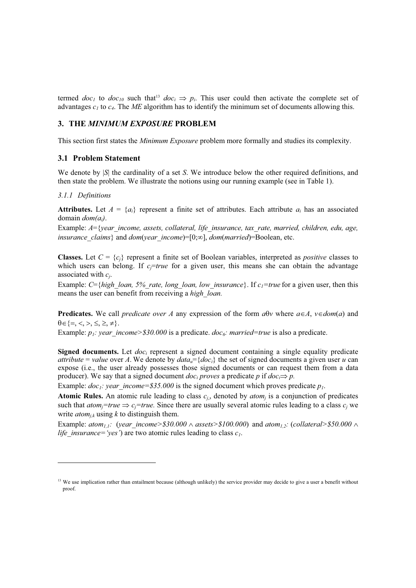termed *doc<sub>1</sub>* to *doc<sub>10</sub>* such that<sup>13</sup> *doc<sub>i</sub>*  $\Rightarrow$  *p<sub>i</sub>*. This user could then activate the complete set of advantages *c1* to *c4*. The *ME* algorithm has to identify the minimum set of documents allowing this.

## **3. THE** *MINIMUM EXPOSURE* **PROBLEM**

This section first states the *Minimum Exposure* problem more formally and studies its complexity.

## **3.1 Problem Statement**

We denote by |*S*| the cardinality of a set *S*. We introduce below the other required definitions, and then state the problem. We illustrate the notions using our running example (see in Table 1).

## *3.1.1 Definitions*

1

**Attributes.** Let  $A = \{a_i\}$  represent a finite set of attributes. Each attribute  $a_i$  has an associated domain *dom(ai)*.

Example: *A*={*year\_income, assets, collateral, life\_insurance, tax\_rate, married, children, edu, age, insurance\_claims*} and *dom*(*year\_income*)=[0; $\infty$ ], *dom*(*married*)=Boolean, etc.

**Classes.** Let  $C = \{c_i\}$  represent a finite set of Boolean variables, interpreted as *positive* classes to which users can belong. If  $c<sub>i</sub>$  = *true* for a given user, this means she can obtain the advantage associated with *cj*.

Example: *C*={*high\_loan, 5%\_rate, long\_loan, low\_insurance*}. If  $c_1$ =*true* for a given user, then this means the user can benefit from receiving a *high\_loan.*

**Predicates.** We call *predicate over A* any expression of the form  $a\theta v$  where  $a \in A$ ,  $v \in dom(a)$  and  $\theta \in \{ =, <, >, \leq, \geq, \neq \}.$ 

Example: *p<sub>1</sub>: year income>\$30.000* is a predicate. *doc<sub>6</sub>: married=true* is also a predicate.

**Signed documents.** Let *doc<sub>i</sub>* represent a signed document containing a single equality predicate *attribute* = *value* over *A*. We denote by  $data_{ij} = \{doc_i\}$  the set of signed documents a given user *u* can expose (i.e., the user already possesses those signed documents or can request them from a data producer). We say that a signed document  $doc_i$  *proves* a predicate *p* if  $doc_i \Rightarrow p$ .

Example:  $doc_1$ : year income=\$35.000 is the signed document which proves predicate  $p_1$ .

**Atomic Rules.** An atomic rule leading to class  $c_i$ , denoted by  $atom_i$  is a conjunction of predicates such that  $atom<sub>j</sub>=true \implies c<sub>j</sub>=true$ . Since there are usually several atomic rules leading to a class  $c<sub>i</sub>$  we write  $atom_{i,k}$  using k to distinguish them.

Example: *atom<sub>1,1</sub>:* (*year\_income>\$30.000*  $\land$  *assets>\$100.000*) and *atom<sub>1,2</sub>:* (*collateral>\$50.000*  $\land$ *life insurance='yes'*) are two atomic rules leading to class  $c_1$ .

<sup>&</sup>lt;sup>13</sup> We use implication rather than entailment because (although unlikely) the service provider may decide to give a user a benefit without proof.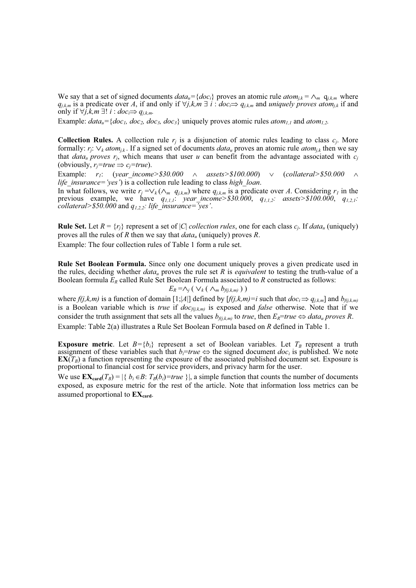We say that a set of signed documents  $data_u = \{doc_i\}$  proves an atomic rule  $atom_{j,k} = \wedge_m q_{j,k,m}$  where  $q_{i,k,m}$  is a predicate over A, if and only if  $\forall j,k,m \exists i : doc \implies q_{i,k,m}$  and *uniquely proves atom<sub>ik</sub>* if and only if  $\forall j, k, m \exists ! i : doc \implies q_{i,k,m}$ .

Example:  $data_u = \{doc_1, doc_2, doc_3, doc_3\}$  uniquely proves atomic rules  $atom_{1,1}$  and  $atom_{1,2}$ .

**Collection Rules.** A collection rule  $r_i$  is a disjunction of atomic rules leading to class  $c_i$ . More formally:  $r_i$ :  $\vee_k atom_{ik}$ . If a signed set of documents *data<sub>u</sub>* proves an atomic rule *atom<sub>ik</sub>* then we say that *data<sub>u</sub> proves*  $r_i$ , which means that user *u* can benefit from the advantage associated with  $c_i$ (obviously,  $r_i$ =true  $\Rightarrow$  c<sub>i</sub>=true).

Example:  $r_1$ : (*year* income>\$30.000  $\land$  assets>\$100.000)  $\lor$  (*collateral>\$50.000*  $\land$ *life\_insurance='yes'*) is a collection rule leading to class *high\_loan*.

In what follows, we write  $r_j = \vee_k (\wedge_m q_{j,k,m})$  where  $q_{j,k,m}$  is a predicate over A. Considering  $r_l$  in the previous example, we have *q1,1,1*: *year\_income>\$30.000*, *q1,1,2: assets>\$100.000*, *q1,2,1: collateral>\$50.000* and *q1,2,2: life\_insurance='yes'*.

**Rule Set.** Let  $R = \{r_i\}$  represent a set of  $|C|$  *collection rules*, one for each class  $c_i$ . If  $data_u$  (uniquely) proves all the rules of *R* then we say that *datau* (uniquely) proves *R*. Example: The four collection rules of Table 1 form a rule set.

**Rule Set Boolean Formula.** Since only one document uniquely proves a given predicate used in

the rules, deciding whether *datau* proves the rule set *R* is *equivalent* to testing the truth-value of a Boolean formula *ER* called Rule Set Boolean Formula associated to *R* constructed as follows:

$$
E_R = \wedge_j (\vee_k (\wedge_m b_{f(j,k,m)}))
$$

where  $f(j,k,m)$  is a function of domain [1;|A|] defined by  $[f(j,k,m)=i$  such that  $doc_i \Rightarrow q_{j,k,m}$ ] and  $b_{f(j,k,m)}$ is a Boolean variable which is *true* if  $\frac{d}{d}$ *doc<sub>f(j,k,m)*</sub> is exposed and *false* otherwise. Note that if we consider the truth assignment that sets all the values  $b_{f(i,k,m)}$  to *true*, then  $E_R$ =*true*  $\Leftrightarrow$  *data<sub>u</sub>* proves R. Example: Table 2(a) illustrates a Rule Set Boolean Formula based on *R* defined in Table 1.

**Exposure metric**. Let  $B = \{b_i\}$  represent a set of Boolean variables. Let  $T_B$  represent a truth assignment of these variables such that  $b_i$ =*true*  $\Leftrightarrow$  the signed document *doc<sub>i</sub>* is published. We note  $\mathbf{EX}(T_B)$  a function representing the exposure of the associated published document set. Exposure is proportional to financial cost for service providers, and privacy harm for the user.

We use  $\mathbf{EX}_{\text{card}}(T_B) = |\{b_i \in B: T_B(b_i) = true\}|$ , a simple function that counts the number of documents exposed, as exposure metric for the rest of the article. Note that information loss metrics can be assumed proportional to  $EX_{card}$ .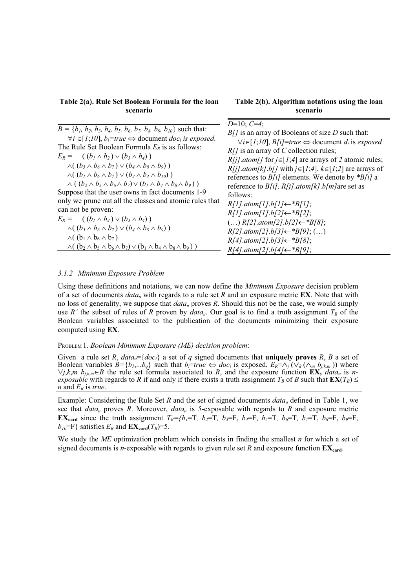## **Table 2(a). Rule Set Boolean Formula for the loan scenario**

## **Table 2(b). Algorithm notations using the loan scenario**

| $B = \{b_1, b_2, b_3, b_4, b_5, b_6, b_7, b_8, b_9, b_{10}\}\$ such that:<br>$\forall i \in [1;10], b_i$ =true $\Leftrightarrow$ document <i>doc<sub>i</sub></i> is exposed.<br>The Rule Set Boolean Formula $E_R$ is as follows:<br>$E_R = ( (b_1 \wedge b_2) \vee (b_3 \wedge b_4) )$<br>$\wedge ( (b_5 \wedge b_6 \wedge b_7) \vee (b_4 \wedge b_8 \wedge b_9))$<br>$\wedge ( (b_1 \wedge b_6 \wedge b_7) \vee (b_2 \wedge b_4 \wedge b_{10}))$<br>$\wedge ((b_2 \wedge b_5 \wedge b_6 \wedge b_7) \vee (b_1 \wedge b_4 \wedge b_8 \wedge b_9))$<br>Suppose that the user owns in fact documents 1-9<br>only we prune out all the classes and atomic rules that<br>can not be proven:<br>$E_R = ( (b_1 \wedge b_2) \vee (b_3 \wedge b_4) )$<br>$\wedge ( (b_5 \wedge b_6 \wedge b_7) \vee (b_4 \wedge b_8 \wedge b_9))$<br>$\wedge$ ( $(b_1 \wedge b_6 \wedge b_7)$<br>$\wedge ((b_2 \wedge b_5 \wedge b_6 \wedge b_7) \vee (b_1 \wedge b_4 \wedge b_8 \wedge b_9))$ | $D=10; C=4;$<br>$B/J$ is an array of Booleans of size D such that:<br>$\forall i \in [1; 10]$ , $B[i]$ =true $\Leftrightarrow$ document $d_i$ is exposed<br>$R/J$ is an array of C collection rules;<br>$R[i]$ .atom[] for $i \in [1; 4]$ are arrays of 2 atomic rules;<br>$R[i]$ .atom[k].b[] with $j \in [1;4]$ , $k \in [1;2]$ are arrays of<br>references to $B[i]$ elements. We denote by * $B[i]$ a<br>reference to $B[i]$ . $R[i]$ . <i>atom</i> $[k]$ . <i>b</i> [ <i>m</i> ] are set as<br>follows:<br>$R[1].atom[1].b[1] \leftarrow *B[1];$<br>$R[1].atom[1].b[2] \leftarrow *B[2];$<br>$()$ R[2].atom[2].b[2] ← * B[8];<br>$R[2].atom[2].b[3] \leftarrow *B[9]; ()$<br>$R[4]$ .atom[2].b[3] $\leftarrow$ *B[8];<br>$R[4]$ .atom[2].b[4] $\leftarrow$ *B[9]; |
|-------------------------------------------------------------------------------------------------------------------------------------------------------------------------------------------------------------------------------------------------------------------------------------------------------------------------------------------------------------------------------------------------------------------------------------------------------------------------------------------------------------------------------------------------------------------------------------------------------------------------------------------------------------------------------------------------------------------------------------------------------------------------------------------------------------------------------------------------------------------------------------------------------------------------------------------------------------------------|------------------------------------------------------------------------------------------------------------------------------------------------------------------------------------------------------------------------------------------------------------------------------------------------------------------------------------------------------------------------------------------------------------------------------------------------------------------------------------------------------------------------------------------------------------------------------------------------------------------------------------------------------------------------------------------------------------------------------------------------------------------------|
|                                                                                                                                                                                                                                                                                                                                                                                                                                                                                                                                                                                                                                                                                                                                                                                                                                                                                                                                                                         |                                                                                                                                                                                                                                                                                                                                                                                                                                                                                                                                                                                                                                                                                                                                                                        |

#### *3.1.2 Minimum Exposure Problem*

Using these definitions and notations, we can now define the *Minimum Exposure* decision problem of a set of documents *datau* with regards to a rule set *R* and an exposure metric **EX**. Note that with no loss of generality, we suppose that *datau* proves *R*. Should this not be the case, we would simply use *R'* the subset of rules of *R* proven by  $data_u$ . Our goal is to find a truth assignment  $T_B$  of the Boolean variables associated to the publication of the documents minimizing their exposure computed using **EX**.

PROBLEM 1. *Boolean Minimum Exposure (ME) decision problem*:

Given a rule set *R*,  $data_u = \{doc_i\}$  a set of *q* signed documents that **uniquely proves** *R*, *B* a set of Boolean variables  $B = \{b_1, \ldots, b_q\}$  such that  $b_i = true \Leftrightarrow doc_i$  is exposed,  $E_R = \wedge_j (\vee_k (\wedge_m b_{j,k,m}))$  where  $\forall j, k, m \; b_{j,k,m} \in B$  the rule set formula associated to *R*, and the exposure function **EX**, *data<sub>u</sub>* is *nexposable* with regards to *R* if and only if there exists a truth assignment  $T_B$  of *B* such that  $\mathbf{EX}(T_B) \leq$ *n* and *ER* is *true*.

Example: Considering the Rule Set *R* and the set of signed documents *datau* defined in Table 1, we see that  $data_u$  proves *R*. Moreover,  $data_u$  is 5-exposable with regards to *R* and exposure metric **EX**<sub>card</sub> since the truth assignment  $T_B=\{b_1=$ T,  $b_2=$ T,  $b_3=$ F,  $b_4=$ F,  $b_5=$ T,  $b_6=$ T,  $b_7=$ T,  $b_8=$ F,  $b_9=$ F,  $b_{10}$ =F} satisfies  $E_R$  and  $EX_{card}(T_B)$ =5.

We study the *ME* optimization problem which consists in finding the smallest *n* for which a set of signed documents is *n*-exposable with regards to given rule set *R* and exposure function  $EX_{\text{card}}$ .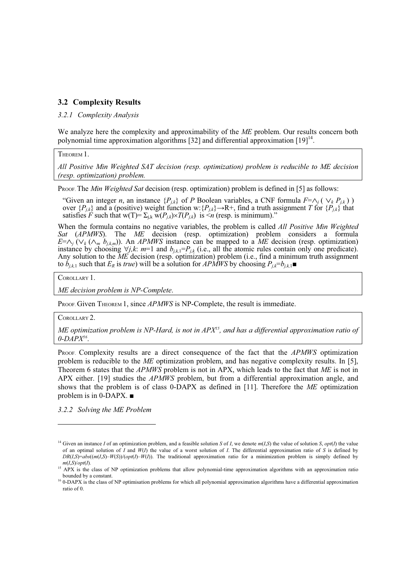## **3.2 Complexity Results**

#### *3.2.1 Complexity Analysis*

We analyze here the complexity and approximability of the *ME* problem. Our results concern both polynomial time approximation algorithms [32] and differential approximation [19]<sup>14</sup>.

THEOREM 1.

*All Positive Min Weighted SAT decision (resp. optimization) problem is reducible to ME decision (resp. optimization) problem.* 

Proof. The *Min Weighted Sat* decision (resp. optimization) problem is defined in [5] as follows:

"Given an integer *n*, an instance  $\{P_{j,k}\}\$  of *P* Boolean variables, a CNF formula  $F=\wedge_j (\vee_k P_{j,k})$ ) over  ${P_{j,k}}$  and a (positive) weight function w:  ${P_{j,k}}$   $\rightarrow$ R+, find a truth assignment *T* for  ${P_{j,k}}$  that satisfies *F* such that w(T)=  $\Sigma_{j,k}$  w( $P_{j,k}$ )  $\times T(P_{j,k})$  is  $\leq n$  (resp. is minimum)."

When the formula contains no negative variables, the problem is called *All Positive Min Weighted Sat* (*APMWS*). The *ME* decision (resp. optimization) problem considers a formula  $E=\wedge_j$  ( $\vee_k (\wedge_m b_{j,k,m})$ ). An *APMWS* instance can be mapped to a *ME* decision (resp. optimization) instance by choosing  $\forall j, k$ : *m*=1 and  $b_{j,k,1} = P_{j,k}$  (i.e., all the atomic rules contain only one predicate). Any solution to the *ME* decision (resp. optimization) problem (i.e., find a minimum truth assignment to  $b_{i,k,1}$  such that  $E_R$  is *true*) will be a solution for *APMWS* by choosing  $P_{i,k}=b_{i,k,1}$ 

COROLLARY 1.

*ME decision problem is NP-Complete*.

PROOF. Given THEOREM 1, since *APMWS* is NP-Complete, the result is immediate.

COROLLARY 2.

 $\overline{a}$ 

*ME optimization problem is NP-Hard, is not in APX15, and has a differential approximation ratio of 0-DAPX16*.

PROOF. Complexity results are a direct consequence of the fact that the *APMWS* optimization problem is reducible to the *ME* optimization problem, and has negative complexity results. In [5], Theorem 6 states that the *APMWS* problem is not in APX, which leads to the fact that *ME* is not in APX either. [19] studies the *APMWS* problem, but from a differential approximation angle, and shows that the problem is of class 0-DAPX as defined in [11]. Therefore the *ME* optimization problem is in 0-DAPX.  $\blacksquare$ 

*3.2.2 Solving the ME Problem* 

<sup>&</sup>lt;sup>14</sup> Given an instance *I* of an optimization problem, and a feasible solution *S* of *I*, we denote  $m(I, S)$  the value of solution *S*,  $opt(I)$  the value of an optimal solution of *I* and *W*(*I*) the value of a worst solution of *I*. The differential approximation ratio of *S* is defined by  $DR(I, S) = abs((m(I, S) - W(S))/(opt(I) - W(I))$ . The traditional approximation ratio for a minimization problem is simply defined by *m*(*I*,*S*)/*opt*(*I*)*.*

 $15$  APX is the class of NP optimization problems that allow polynomial-time approximation algorithms with an approximation ratio bounded by a constant.

 $16$  0-DAPX is the class of NP optimisation problems for which all polynomial approximation algorithms have a differential approximation ratio of 0.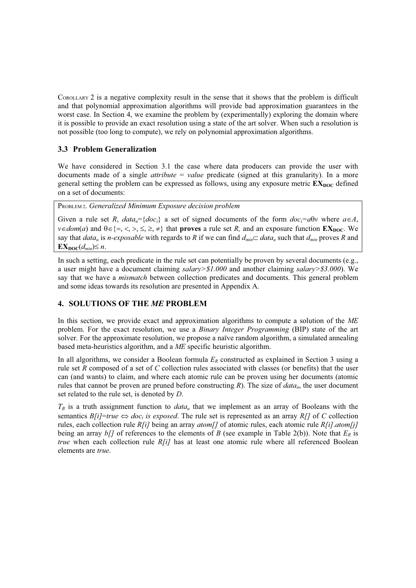COROLLARY 2 is a negative complexity result in the sense that it shows that the problem is difficult and that polynomial approximation algorithms will provide bad approximation guarantees in the worst case. In Section 4, we examine the problem by (experimentally) exploring the domain where it is possible to provide an exact resolution using a state of the art solver. When such a resolution is not possible (too long to compute), we rely on polynomial approximation algorithms.

## **3.3 Problem Generalization**

We have considered in Section 3.1 the case where data producers can provide the user with documents made of a single *attribute* = *value* predicate (signed at this granularity). In a more general setting the problem can be expressed as follows, using any exposure metric  $\mathbf{EX}_{\text{DOC}}$  defined on a set of documents:

PROBLEM 2. *Generalized Minimum Exposure decision problem* 

Given a rule set *R*,  $data_u = \{doc_i\}$  a set of signed documents of the form  $doc_i = a\theta v$  where  $a \in A$ ,  $v \in dom(a)$  and  $\theta \in \{ =, <, >, \leq, \geq, \neq \}$  that **proves** a rule set *R*, and an exposure function **EX**<sub>DOC</sub>. We say that *data<sub>u</sub>* is *n*-exposable with regards to *R* if we can find  $d_{min} \subset data_u$  such that  $d_{min}$  proves *R* and  $\mathbf{EX}_{\mathbf{DOC}}(d_{min}) \leq n$ .

In such a setting, each predicate in the rule set can potentially be proven by several documents (e.g., a user might have a document claiming *salary>\$1.000* and another claiming *salary>\$3.000*). We say that we have a *mismatch* between collection predicates and documents. This general problem and some ideas towards its resolution are presented in Appendix A.

## **4. SOLUTIONS OF THE** *ME* **PROBLEM**

In this section, we provide exact and approximation algorithms to compute a solution of the *ME* problem. For the exact resolution, we use a *Binary Integer Programming* (BIP) state of the art solver. For the approximate resolution, we propose a naïve random algorithm, a simulated annealing based meta-heuristics algorithm, and a *ME* specific heuristic algorithm.

In all algorithms, we consider a Boolean formula  $E_R$  constructed as explained in Section 3 using a rule set *R* composed of a set of *C* collection rules associated with classes (or benefits) that the user can (and wants) to claim, and where each atomic rule can be proven using her documents (atomic rules that cannot be proven are pruned before constructing *R*). The size of *data<sub>u</sub>*, the user document set related to the rule set, is denoted by *D*.

 $T_B$  is a truth assignment function to  $data_u$  that we implement as an array of Booleans with the semantics  $B[i]$ =*true*  $\Leftrightarrow$  *doc<sub>i</sub>* is exposed. The rule set is represented as an array *R*[] of *C* collection rules, each collection rule *R[i]* being an array *atom[]* of atomic rules, each atomic rule *R[i]*.*atom[j]* being an array  $b/7$  of references to the elements of *B* (see example in Table 2(b)). Note that  $E_R$  is *true* when each collection rule *R[i]* has at least one atomic rule where all referenced Boolean elements are *true*.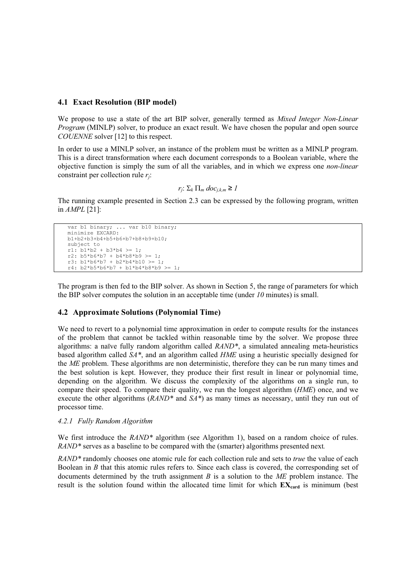## **4.1 Exact Resolution (BIP model)**

We propose to use a state of the art BIP solver, generally termed as *Mixed Integer Non-Linear Program* (MINLP) solver, to produce an exact result. We have chosen the popular and open source *COUENNE* solver [12] to this respect.

In order to use a MINLP solver, an instance of the problem must be written as a MINLP program. This is a direct transformation where each document corresponds to a Boolean variable, where the objective function is simply the sum of all the variables, and in which we express one *non-linear* constraint per collection rule *rj*:

 $r_i: \sum_k \prod_m doc_{i,k,m} \geq 1$ 

The running example presented in Section 2.3 can be expressed by the following program, written in *AMPL* [21]:

```
var bl binary; ... var b10 binary;
minimize EXCARD: 
b1+b2+b3+b4+b5+b6+b7+b8+b9+b10;
subject to
r1: b1*b2 + b3*b4 >= 1:
r2: b5*b6*b7 + b4*b8*b9 > = 1;r3: b1*b6*b7 + b2*b4*b10 >= 1; 
r4: b2*b5*b6*b7 + b1*b4*b8*b9 >= 1;
```
The program is then fed to the BIP solver. As shown in Section 5, the range of parameters for which the BIP solver computes the solution in an acceptable time (under *10* minutes) is small.

## **4.2 Approximate Solutions (Polynomial Time)**

We need to revert to a polynomial time approximation in order to compute results for the instances of the problem that cannot be tackled within reasonable time by the solver. We propose three algorithms: a naïve fully random algorithm called *RAND\**, a simulated annealing meta-heuristics based algorithm called *SA\**, and an algorithm called *HME* using a heuristic specially designed for the *ME* problem. These algorithms are non deterministic, therefore they can be run many times and the best solution is kept. However, they produce their first result in linear or polynomial time, depending on the algorithm. We discuss the complexity of the algorithms on a single run, to compare their speed. To compare their quality, we run the longest algorithm (*HME*) once, and we execute the other algorithms (*RAND\** and *SA\**) as many times as necessary, until they run out of processor time.

#### *4.2.1 Fully Random Algorithm*

We first introduce the *RAND*<sup>\*</sup> algorithm (see Algorithm 1), based on a random choice of rules. *RAND\** serves as a baseline to be compared with the (smarter) algorithms presented next*.*

*RAND\** randomly chooses one atomic rule for each collection rule and sets to *true* the value of each Boolean in *B* that this atomic rules refers to. Since each class is covered, the corresponding set of documents determined by the truth assignment *B* is a solution to the *ME* problem instance. The result is the solution found within the allocated time limit for which  $EX_{card}$  is minimum (best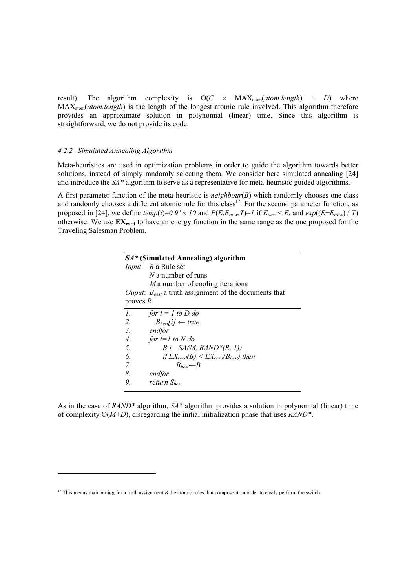result). The algorithm complexity is  $O(C \times MAX_{atom}(atom.length) + D)$  where MAXatom(*atom.length*) is the length of the longest atomic rule involved. This algorithm therefore provides an approximate solution in polynomial (linear) time. Since this algorithm is straightforward, we do not provide its code.

## *4.2.2 Simulated Annealing Algorithm*

1

Meta-heuristics are used in optimization problems in order to guide the algorithm towards better solutions, instead of simply randomly selecting them. We consider here simulated annealing [24] and introduce the *SA\** algorithm to serve as a representative for meta-heuristic guided algorithms.

A first parameter function of the meta-heuristic is *neighbour*(*B*) which randomly chooses one class and randomly chooses a different atomic rule for this class<sup>17</sup>. For the second parameter function, as proposed in [24], we define  $temp(i)=0.9^i \times 10$  and  $P(E,E_{new},T)=1$  if  $E_{new} \leq E$ , and  $exp((E-E_{new})/T)$ otherwise. We use  $EX_{\text{card}}$  to have an energy function in the same range as the one proposed for the Traveling Salesman Problem.

|                  | $SA*(Simulated \, Annealing)$ algorithm                           |
|------------------|-------------------------------------------------------------------|
|                  | <i>Input</i> : R a Rule set                                       |
|                  | $N$ a number of runs                                              |
|                  | M a number of cooling iterations                                  |
|                  | <i>Ouput:</i> $B_{best}$ a truth assignment of the documents that |
| proves $R$       |                                                                   |
| $\mathcal{I}$ .  | for $i = 1$ to D do                                               |
| 2.               | $B_{best}[i] \leftarrow true$                                     |
| $\mathfrak{Z}$ . | endfor                                                            |
| 4.               | for $i=1$ to N do                                                 |
| 5.               | $B \leftarrow SA(M, RAND^*(R, 1))$                                |
| 6.               | if $EX_{card}(B) \le EX_{card}(B_{best})$ then                    |
| 7.               | $B_{best} \leftarrow B$                                           |
| 8.               | endfor                                                            |
| 9.               | return S <sub>hest</sub>                                          |

As in the case of *RAND\** algorithm, *SA\** algorithm provides a solution in polynomial (linear) time of complexity O(*M+D*), disregarding the initial initialization phase that uses *RAND\**.

<sup>&</sup>lt;sup>17</sup> This means maintaining for a truth assignment *B* the atomic rules that compose it, in order to easily perform the switch.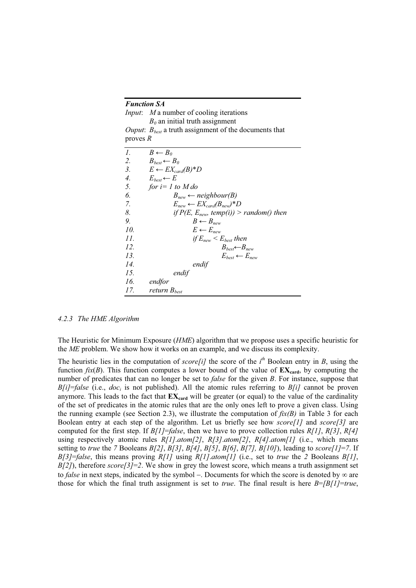## *Function SA*

*Input*: *M* a number of cooling iterations  $B_0$  an initial truth assignment *Ouput*:  $B_{best}$  a truth assignment of the documents that

proves *R*

| 1.  | $B \leftarrow B_0$                          |
|-----|---------------------------------------------|
| 2.  | $B_{best} \leftarrow B_0$                   |
| 3.  | $E \leftarrow EX_{card}(B)^*D$              |
| 4.  | $E_{best} \leftarrow E$                     |
| 5.  | for $i=1$ to M do                           |
| 6.  | $B_{new} \leftarrow$ neighbour(B)           |
| 7.  | $E_{new} \leftarrow EX_{card}(B_{new})^*D$  |
| 8.  | if $P(E, E_{new}, temp(i)) > random()$ then |
| 9.  | $B \leftarrow B_{new}$                      |
| 10. | $E \leftarrow E_{new}$                      |
| 11. | if $E_{new} < E_{best}$ then                |
| 12. | $B_{best} \leftarrow B_{new}$               |
| 13. | $E_{best} \leftarrow E_{new}$               |
| 14. | endif                                       |
| 15. | endif                                       |
| 16. | endfor                                      |
| 17. | return B <sub>hest</sub>                    |

#### *4.2.3 The HME Algorithm*

The Heuristic for Minimum Exposure (*HME*) algorithm that we propose uses a specific heuristic for the *ME* problem. We show how it works on an example, and we discuss its complexity.

The heuristic lies in the computation of *score*[i] the score of the  $i<sup>th</sup>$  Boolean entry in *B*, using the function  $fix(B)$ . This function computes a lower bound of the value of  $EX_{card}$ , by computing the number of predicates that can no longer be set to *false* for the given *B*. For instance, suppose that  $B[i] = false$  (i.e.,  $doc_i$  is not published). All the atomic rules referring to  $B[i]$  cannot be proven anymore. This leads to the fact that  $EX_{\text{card}}$  will be greater (or equal) to the value of the cardinality of the set of predicates in the atomic rules that are the only ones left to prove a given class. Using the running example (see Section 2.3), we illustrate the computation of *fix(B)* in Table 3 for each Boolean entry at each step of the algorithm. Let us briefly see how *score[1]* and *score[3]* are computed for the first step. If *B[1]*=*false*, then we have to prove collection rules *R[1]*, *R[3]*, *R[4]* using respectively atomic rules *R[1]*.*atom[2]*, *R[3]*.*atom[2]*, *R[4]*.*atom[1]* (i.e., which means setting to *true* the *7* Booleans  $B[2]$ ,  $B[3]$ ,  $B[4]$ ,  $B[5]$ ,  $B[6]$ ,  $B[7]$ ,  $B[10]$ ), leading to  $score[1] = 7$ . If *B[3]*=*false*, this means proving *R[1]* using *R[1]*.*atom[1]* (i.e., set to *true* the *2* Booleans *B[1]*, *B[2]*), therefore *score[3]*=*2*. We show in grey the lowest score, which means a truth assignment set to *false* in next steps, indicated by the symbol –. Documents for which the score is denoted by  $\infty$  are those for which the final truth assignment is set to *true*. The final result is here *B*=*[B[1]*=*true*,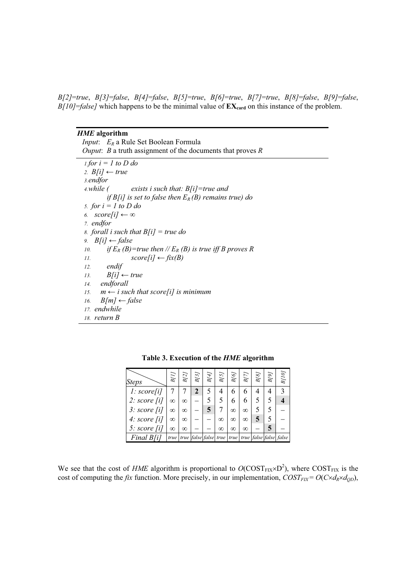*B[2]*=*true*, *B[3]*=*false*, *B[4]*=*false*, *B[5]*=*true*, *B[6]*=*true*, *B[7]*=*true*, *B[8]*=*false*, *B[9]*=*false*,  $B[10] = false$  which happens to be the minimal value of  $EX_{\text{card}}$  on this instance of the problem.

## *HME* **algorithm**

*Input*:  $E_R$  a Rule Set Boolean Formula *Ouput*: *B* a truth assignment of the documents that proves *R 1.for i = 1 to D do 2.*  $B[i] \leftarrow true$ *3.endfor 4.while ( exists i such that: B[i]=true and if B[i] is set to false then ER (B) remains true) do 5. for i = 1 to D do 6.*  $score[i] \leftarrow \infty$ *7. endfor 8. forall i such that B[i] = true do 9.*  $B[i] \leftarrow false$ *10. if*  $E_R(B)$ =true then // $E_R(B)$  is true iff B proves R *11.*  $score[i] \leftarrow fix(B)$ *12. endif 13.*  $B[i] \leftarrow true$ *14. endforall*  15.  $m \leftarrow i$  such that score [i] is minimum *16.*  $B[m] \leftarrow false$ *17. endwhile 18. return B* 

| <i>Steps</i>         | B[I]      | B[2]      | B[3] | B[4] | B[5] | <b>B[6]</b> | B[T]     | B[8] | B[9] | $B[\,I\,0]$                                                              |
|----------------------|-----------|-----------|------|------|------|-------------|----------|------|------|--------------------------------------------------------------------------|
| $1: \text{score}[i]$ |           |           | 2    | 5    |      |             |          |      |      |                                                                          |
| 2: score[i]          | $^\infty$ | $^\infty$ |      |      |      |             |          |      |      |                                                                          |
| 3: score[i]          | $\infty$  | $^\infty$ |      |      |      | $\infty$    | $\infty$ |      |      |                                                                          |
| 4: score $[i]$       | $\infty$  | $\infty$  |      |      | ∞    | ∞           | $\infty$ |      |      |                                                                          |
| 5: score $[i]$       | $\infty$  | $\infty$  |      |      | ∞    | $\infty$    | $\infty$ |      |      |                                                                          |
| Final B[i]           |           |           |      |      |      |             |          |      |      | true   true   false   false   true   true   true   false   false   false |

**Table 3. Execution of the** *HME* **algorithm** 

We see that the cost of *HME* algorithm is proportional to  $O(COST_{\text{FIX}}\times D^2)$ , where  $COST_{\text{FIX}}$  is the cost of computing the *fix* function. More precisely, in our implementation,  $COST_{FX} = O(C \times d_R \times d_{OD})$ ,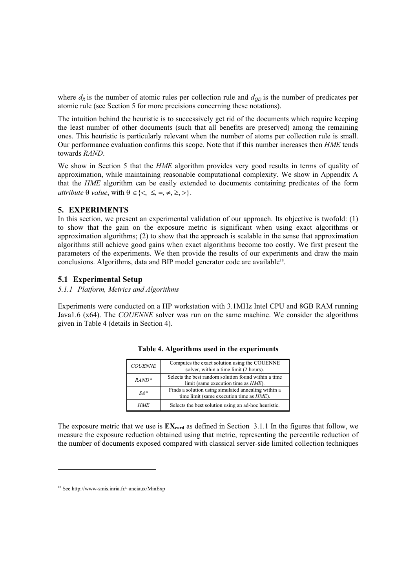where  $d_R$  is the number of atomic rules per collection rule and  $d_{OD}$  is the number of predicates per atomic rule (see Section 5 for more precisions concerning these notations).

The intuition behind the heuristic is to successively get rid of the documents which require keeping the least number of other documents (such that all benefits are preserved) among the remaining ones. This heuristic is particularly relevant when the number of atoms per collection rule is small. Our performance evaluation confirms this scope. Note that if this number increases then *HME* tends towards *RAND*.

We show in Section 5 that the *HME* algorithm provides very good results in terms of quality of approximation, while maintaining reasonable computational complexity. We show in Appendix A that the *HME* algorithm can be easily extended to documents containing predicates of the form *attribute*  $\theta$  *value*, with  $\theta \in \{<, \leq, =, \neq, \geq, >\}.$ 

## **5. EXPERIMENTS**

In this section, we present an experimental validation of our approach. Its objective is twofold: (1) to show that the gain on the exposure metric is significant when using exact algorithms or approximation algorithms; (2) to show that the approach is scalable in the sense that approximation algorithms still achieve good gains when exact algorithms become too costly. We first present the parameters of the experiments. We then provide the results of our experiments and draw the main conclusions. Algorithms, data and BIP model generator code are available<sup>18</sup>.

## **5.1 Experimental Setup**

## *5.1.1 Platform, Metrics and Algorithms*

Experiments were conducted on a HP workstation with 3.1MHz Intel CPU and 8GB RAM running Java1.6 (x64). The *COUENNE* solver was run on the same machine. We consider the algorithms given in Table 4 (details in Section 4).

| <b>COUENNE</b> | Computes the exact solution using the COUENNE<br>solver, within a time limit (2 hours).                 |
|----------------|---------------------------------------------------------------------------------------------------------|
| $RAND^*$       | Selects the best random solution found within a time<br>limit (same execution time as <i>HME</i> ).     |
| $SA*$          | Finds a solution using simulated annealing within a<br>time limit (same execution time as <i>HME</i> ). |
| HME.           | Selects the best solution using an ad-hoc heuristic.                                                    |

#### **Table 4. Algorithms used in the experiments**

The exposure metric that we use is  $EX_{\text{card}}$  as defined in Section 3.1.1 In the figures that follow, we measure the exposure reduction obtained using that metric, representing the percentile reduction of the number of documents exposed compared with classical server-side limited collection techniques

 $\overline{a}$ 

<sup>18</sup> See http://www-smis.inria.fr/~anciaux/MinExp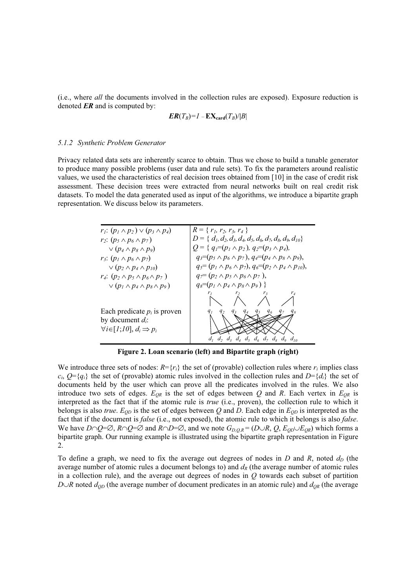(i.e., where *all* the documents involved in the collection rules are exposed). Exposure reduction is denoted *ER* and is computed by:

$$
ER(T_B)=1-EX_{\text{card}}(T_B)/|B|
$$

#### *5.1.2 Synthetic Problem Generator*

Privacy related data sets are inherently scarce to obtain. Thus we chose to build a tunable generator to produce many possible problems (user data and rule sets). To fix the parameters around realistic values, we used the characteristics of real decision trees obtained from [10] in the case of credit risk assessment. These decision trees were extracted from neural networks built on real credit risk datasets. To model the data generated used as input of the algorithms, we introduce a bipartite graph representation. We discuss below its parameters.



**Figure 2. Loan scenario (left) and Bipartite graph (right)** 

We introduce three sets of nodes:  $R = \{r_i\}$  the set of (provable) collection rules where  $r_i$  implies class  $c_i$ ,  $Q = \{q_i\}$  the set of (provable) atomic rules involved in the collection rules and  $D = \{d_i\}$  the set of documents held by the user which can prove all the predicates involved in the rules. We also introduce two sets of edges.  $E_{QR}$  is the set of edges between *Q* and *R*. Each vertex in  $E_{QR}$  is interpreted as the fact that if the atomic rule is *true* (i.e., proven), the collection rule to which it belongs is also *true*.  $E_{OD}$  is the set of edges between *Q* and *D*. Each edge in  $E_{OD}$  is interpreted as the fact that if the document is *false* (i.e., not exposed), the atomic rule to which it belongs is also *false*. We have  $D \cap Q = \emptyset$ ,  $R \cap Q = \emptyset$  and  $R \cap D = \emptyset$ , and we note  $G_{D,Q,R} = (D \cup R, Q, E_{QD} \cup E_{QR})$  which forms a bipartite graph. Our running example is illustrated using the bipartite graph representation in Figure 2.

To define a graph, we need to fix the average out degrees of nodes in  $D$  and  $R$ , noted  $d<sub>D</sub>$  (the average number of atomic rules a document belongs to) and  $d<sub>R</sub>$  (the average number of atomic rules in a collection rule), and the average out degrees of nodes in *Q* towards each subset of partition *D* $\cup$ *R* noted  $d_{OD}$  (the average number of document predicates in an atomic rule) and  $d_{OR}$  (the average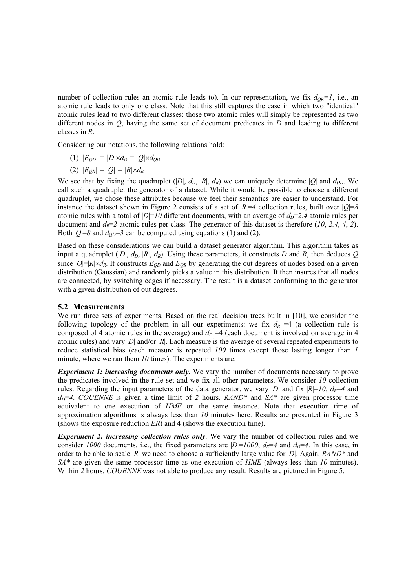number of collection rules an atomic rule leads to). In our representation, we fix  $d_{QR} = 1$ , i.e., an atomic rule leads to only one class. Note that this still captures the case in which two "identical" atomic rules lead to two different classes: those two atomic rules will simply be represented as two different nodes in *Q*, having the same set of document predicates in *D* and leading to different classes in *R*.

Considering our notations, the following relations hold:

- (1)  $|E_{OD}| = |D| \times d_D = |Q| \times d_{OD}$
- (2)  $|E_{OR}| = |Q| = |R| \times d_R$

We see that by fixing the quadruplet  $(|D|, d_D, |R|, d_R)$  we can uniquely determine  $|Q|$  and  $d_{OD}$ . We call such a quadruplet the generator of a dataset. While it would be possible to choose a different quadruplet, we chose these attributes because we feel their semantics are easier to understand. For instance the dataset shown in Figure 2 consists of a set of  $|R|=4$  collection rules, built over  $|O|=8$ atomic rules with a total of  $|D|=10$  different documents, with an average of  $d<sub>D</sub>=2.4$  atomic rules per document and  $d_R = 2$  atomic rules per class. The generator of this dataset is therefore (10, 2.4, 4, 2). Both  $|Q|=8$  and  $d_{OD}=3$  can be computed using equations (1) and (2).

Based on these considerations we can build a dataset generator algorithm. This algorithm takes as input a quadruplet ( $|D|$ ,  $d<sub>D</sub>$ ,  $|R|$ ,  $d<sub>R</sub>$ ). Using these parameters, it constructs *D* and *R*, then deduces *Q* since  $|Q|=|R|\times d_R$ . It constructs  $E_{OD}$  and  $E_{OR}$  by generating the out degrees of nodes based on a given distribution (Gaussian) and randomly picks a value in this distribution. It then insures that all nodes are connected, by switching edges if necessary. The result is a dataset conforming to the generator with a given distribution of out degrees.

#### **5.2 Measurements**

We run three sets of experiments. Based on the real decision trees built in [10], we consider the following topology of the problem in all our experiments: we fix  $d<sub>R</sub> = 4$  (a collection rule is composed of 4 atomic rules in the average) and  $d<sub>D</sub> = 4$  (each document is involved on average in 4 atomic rules) and vary |*D*| and/or |*R*|. Each measure is the average of several repeated experiments to reduce statistical bias (each measure is repeated *100* times except those lasting longer than *1* minute, where we ran them *10* times). The experiments are:

*Experiment 1: increasing documents only***.** We vary the number of documents necessary to prove the predicates involved in the rule set and we fix all other parameters. We consider *10* collection rules. Regarding the input parameters of the data generator, we vary |D| and fix  $|R|=10$ ,  $d<sub>R</sub>=4$  and  $d_D=4$ . *COUENNE* is given a time limit of 2 hours. *RAND\** and  $SA*$  are given processor time equivalent to one execution of *HME* on the same instance. Note that execution time of approximation algorithms is always less than *10* minutes here. Results are presented in Figure 3 (shows the exposure reduction *ER*) and 4 (shows the execution time).

*Experiment 2: increasing collection rules only*. We vary the number of collection rules and we consider 1000 documents, i.e., the fixed parameters are  $|D|=1000$ ,  $d_R=4$  and  $d_D=4$ . In this case, in order to be able to scale |*R*| we need to choose a sufficiently large value for |*D*|. Again, *RAND\** and *SA\** are given the same processor time as one execution of *HME* (always less than *10* minutes). Within *2* hours, *COUENNE* was not able to produce any result. Results are pictured in Figure 5.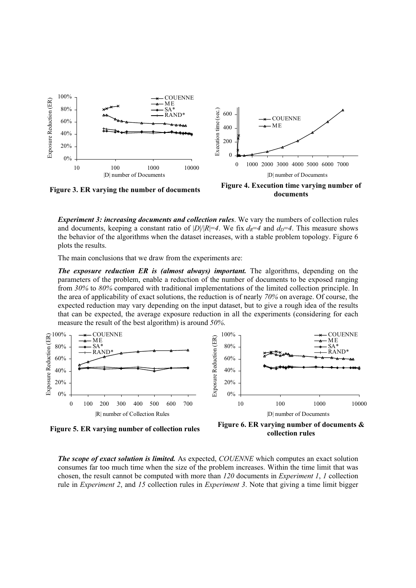

*Experiment 3: increasing documents and collection rules*. We vary the numbers of collection rules and documents, keeping a constant ratio of  $|D|/|R|=4$ . We fix  $d_R=4$  and  $d_D=4$ . This measure shows the behavior of the algorithms when the dataset increases, with a stable problem topology. Figure 6 plots the results.

The main conclusions that we draw from the experiments are:

*The exposure reduction ER is (almost always) important.* The algorithms, depending on the parameters of the problem, enable a reduction of the number of documents to be exposed ranging from *30%* to *80%* compared with traditional implementations of the limited collection principle. In the area of applicability of exact solutions, the reduction is of nearly *70%* on average. Of course, the expected reduction may vary depending on the input dataset, but to give a rough idea of the results that can be expected, the average exposure reduction in all the experiments (considering for each measure the result of the best algorithm) is around *50%*.



**Figure 5. ER varying number of collection rules Figure 6. ER varying number of documents & collection rules** 

*The scope of exact solution is limited.* As expected, *COUENNE* which computes an exact solution consumes far too much time when the size of the problem increases. Within the time limit that was chosen, the result cannot be computed with more than *120* documents in *Experiment 1*, *1* collection rule in *Experiment 2*, and *15* collection rules in *Experiment 3*. Note that giving a time limit bigger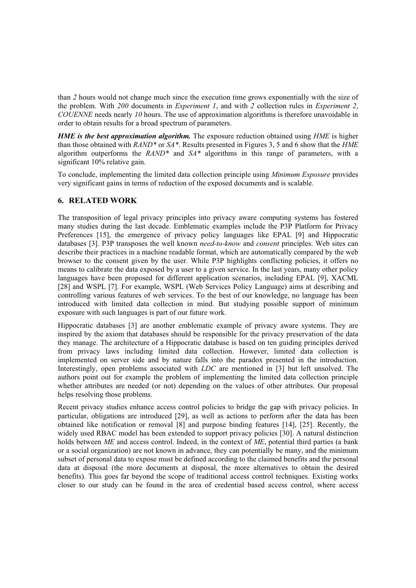than *2* hours would not change much since the execution time grows exponentially with the size of the problem. With *200* documents in *Experiment 1*, and with *2* collection rules in *Experiment 2*, *COUENNE* needs nearly *10* hours. The use of approximation algorithms is therefore unavoidable in order to obtain results for a broad spectrum of parameters.

*HME is the best approximation algorithm.* The exposure reduction obtained using *HME* is higher than those obtained with *RAND\** or *SA\**. Results presented in Figures 3, 5 and 6 show that the *HME* algorithm outperforms the *RAND\** and *SA\** algorithms in this range of parameters, with a significant 10% relative gain.

To conclude, implementing the limited data collection principle using *Minimum Exposure* provides very significant gains in terms of reduction of the exposed documents and is scalable.

## **6. RELATED WORK**

The transposition of legal privacy principles into privacy aware computing systems has fostered many studies during the last decade. Emblematic examples include the P3P Platform for Privacy Preferences [15], the emergence of privacy policy languages like EPAL [9] and Hippocratic databases [3]. P3P transposes the well known *need-to-know* and *consent* principles. Web sites can describe their practices in a machine readable format, which are automatically compared by the web browser to the consent given by the user. While P3P highlights conflicting policies, it offers no means to calibrate the data exposed by a user to a given service. In the last years, many other policy languages have been proposed for different application scenarios, including EPAL [9], XACML [28] and WSPL [7]. For example, WSPL (Web Services Policy Language) aims at describing and controlling various features of web services. To the best of our knowledge, no language has been introduced with limited data collection in mind. But studying possible support of minimum exposure with such languages is part of our future work.

Hippocratic databases [3] are another emblematic example of privacy aware systems. They are inspired by the axiom that databases should be responsible for the privacy preservation of the data they manage. The architecture of a Hippocratic database is based on ten guiding principles derived from privacy laws including limited data collection. However, limited data collection is implemented on server side and by nature falls into the paradox presented in the introduction. Interestingly, open problems associated with *LDC* are mentioned in [3] but left unsolved. The authors point out for example the problem of implementing the limited data collection principle whether attributes are needed (or not) depending on the values of other attributes. Our proposal helps resolving those problems.

Recent privacy studies enhance access control policies to bridge the gap with privacy policies. In particular, obligations are introduced [29], as well as actions to perform after the data has been obtained like notification or removal [8] and purpose binding features [14], [25]. Recently, the widely used RBAC model has been extended to support privacy policies [30]. A natural distinction holds between *ME* and access control. Indeed, in the context of *ME*, potential third parties (a bank or a social organization) are not known in advance, they can potentially be many, and the minimum subset of personal data to expose must be defined according to the claimed benefits and the personal data at disposal (the more documents at disposal, the more alternatives to obtain the desired benefits). This goes far beyond the scope of traditional access control techniques. Existing works closer to our study can be found in the area of credential based access control, where access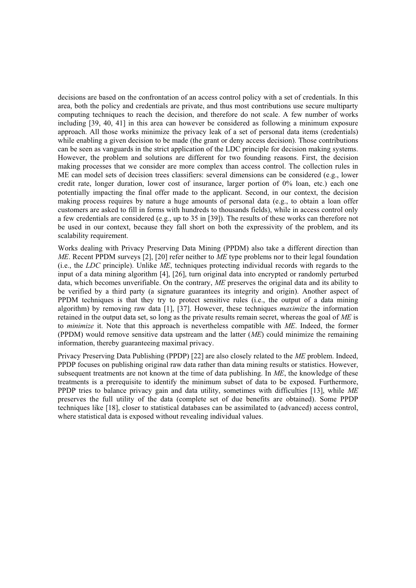decisions are based on the confrontation of an access control policy with a set of credentials. In this area, both the policy and credentials are private, and thus most contributions use secure multiparty computing techniques to reach the decision, and therefore do not scale. A few number of works including [39, 40, 41] in this area can however be considered as following a minimum exposure approach. All those works minimize the privacy leak of a set of personal data items (credentials) while enabling a given decision to be made (the grant or deny access decision). Those contributions can be seen as vanguards in the strict application of the LDC principle for decision making systems. However, the problem and solutions are different for two founding reasons. First, the decision making processes that we consider are more complex than access control. The collection rules in ME can model sets of decision trees classifiers: several dimensions can be considered (e.g., lower credit rate, longer duration, lower cost of insurance, larger portion of 0% loan, etc.) each one potentially impacting the final offer made to the applicant. Second, in our context, the decision making process requires by nature a huge amounts of personal data (e.g., to obtain a loan offer customers are asked to fill in forms with hundreds to thousands fields), while in access control only a few credentials are considered (e.g., up to 35 in [39]). The results of these works can therefore not be used in our context, because they fall short on both the expressivity of the problem, and its scalability requirement.

Works dealing with Privacy Preserving Data Mining (PPDM) also take a different direction than *ME*. Recent PPDM surveys [2], [20] refer neither to *ME* type problems nor to their legal foundation (i.e., the *LDC* principle). Unlike *ME*, techniques protecting individual records with regards to the input of a data mining algorithm [4], [26], turn original data into encrypted or randomly perturbed data, which becomes unverifiable. On the contrary, *ME* preserves the original data and its ability to be verified by a third party (a signature guarantees its integrity and origin). Another aspect of PPDM techniques is that they try to protect sensitive rules (i.e., the output of a data mining algorithm) by removing raw data [1], [37]. However, these techniques *maximize* the information retained in the output data set, so long as the private results remain secret, whereas the goal of *ME* is to *minimize* it. Note that this approach is nevertheless compatible with *ME*. Indeed, the former (PPDM) would remove sensitive data upstream and the latter (*ME*) could minimize the remaining information, thereby guaranteeing maximal privacy.

Privacy Preserving Data Publishing (PPDP) [22] are also closely related to the *ME* problem. Indeed, PPDP focuses on publishing original raw data rather than data mining results or statistics. However, subsequent treatments are not known at the time of data publishing. In *ME*, the knowledge of these treatments is a prerequisite to identify the minimum subset of data to be exposed. Furthermore, PPDP tries to balance privacy gain and data utility, sometimes with difficulties [13], while *ME* preserves the full utility of the data (complete set of due benefits are obtained). Some PPDP techniques like [18], closer to statistical databases can be assimilated to (advanced) access control, where statistical data is exposed without revealing individual values.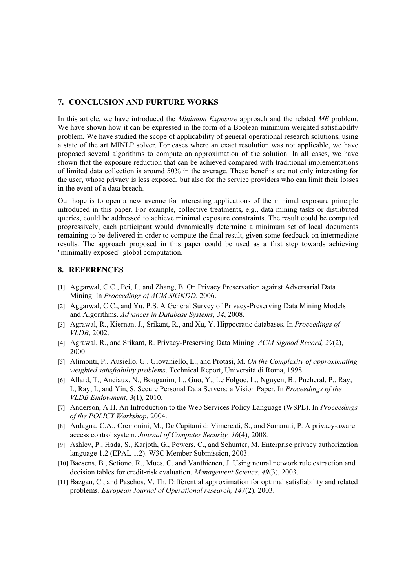## **7. CONCLUSION AND FURTURE WORKS**

In this article, we have introduced the *Minimum Exposure* approach and the related *ME* problem. We have shown how it can be expressed in the form of a Boolean minimum weighted satisfiability problem. We have studied the scope of applicability of general operational research solutions, using a state of the art MINLP solver. For cases where an exact resolution was not applicable, we have proposed several algorithms to compute an approximation of the solution. In all cases, we have shown that the exposure reduction that can be achieved compared with traditional implementations of limited data collection is around 50% in the average. These benefits are not only interesting for the user, whose privacy is less exposed, but also for the service providers who can limit their losses in the event of a data breach.

Our hope is to open a new avenue for interesting applications of the minimal exposure principle introduced in this paper. For example, collective treatments, e.g., data mining tasks or distributed queries, could be addressed to achieve minimal exposure constraints. The result could be computed progressively, each participant would dynamically determine a minimum set of local documents remaining to be delivered in order to compute the final result, given some feedback on intermediate results. The approach proposed in this paper could be used as a first step towards achieving "minimally exposed" global computation.

## **8. REFERENCES**

- [1] Aggarwal, C.C., Pei, J., and Zhang, B. On Privacy Preservation against Adversarial Data Mining. In *Proceedings of ACM SIGKDD*, 2006.
- [2] Aggarwal, C.C., and Yu, P.S. A General Survey of Privacy-Preserving Data Mining Models and Algorithms. *Advances in Database Systems*, *34*, 2008.
- [3] Agrawal, R., Kiernan, J., Srikant, R., and Xu, Y. Hippocratic databases. In *Proceedings of VLDB*, 2002.
- [4] Agrawal, R., and Srikant, R. Privacy-Preserving Data Mining. *ACM Sigmod Record, 29*(2), 2000.
- [5] Alimonti, P., Ausiello, G., Giovaniello, L., and Protasi, M. *On the Complexity of approximating weighted satisfiability problems*. Technical Report, Università di Roma, 1998.
- [6] Allard, T., Anciaux, N., Bouganim, L., Guo, Y., Le Folgoc, L., Nguyen, B., Pucheral, P., Ray, I., Ray, I., and Yin, S. Secure Personal Data Servers: a Vision Paper. In *Proceedings of the VLDB Endowment*, *3*(1)*,* 2010.
- [7] Anderson, A.H. An Introduction to the Web Services Policy Language (WSPL). In *Proceedings of the POLICY Workshop*, 2004.
- [8] Ardagna, C.A., Cremonini, M., De Capitani di Vimercati, S., and Samarati, P. A privacy-aware access control system. *Journal of Computer Security, 16*(4), 2008.
- [9] Ashley, P., Hada, S., Karjoth, G., Powers, C., and Schunter, M. Enterprise privacy authorization language 1.2 (EPAL 1.2). W3C Member Submission, 2003.
- [10] Baesens, B., Setiono, R., Mues, C. and Vanthienen, J. Using neural network rule extraction and decision tables for credit-risk evaluation. *Management Science*, *49*(3), 2003.
- [11] Bazgan, C., and Paschos, V. Th. Differential approximation for optimal satisfiability and related problems. *European Journal of Operational research, 147*(2), 2003.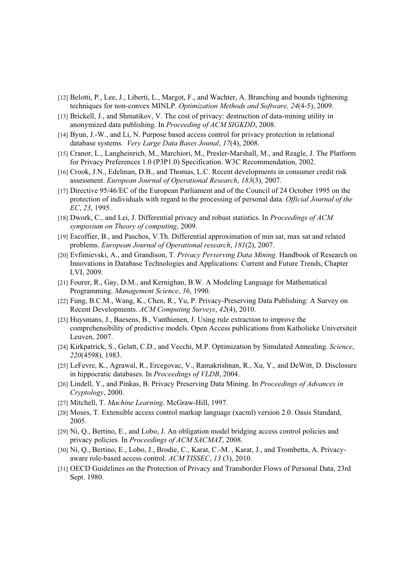- [12] Belotti, P., Lee, J., Liberti, L., Margot, F., and Wachter, A. Branching and bounds tightening techniques for non-convex MINLP. *Optimization Methods and Software, 24*(4-5), 2009.
- [13] Brickell, J., and Shmatikov, V. The cost of privacy: destruction of data-mining utility in anonymized data publishing. In *Proceeding of ACM SIGKDD*, 2008.
- [14] Byun, J.-W., and Li, N. Purpose based access control for privacy protection in relational database systems. *Very Large Data Bases Jounal*, *17*(4), 2008.
- [15] Cranor, L., Langheinrich, M., Marchiori, M., Presler-Marshall, M., and Reagle, J. The Platform for Privacy Preferences 1.0 (P3P1.0) Specification. W3C Recommendation, 2002.
- [16] Crook, J.N., Edelman, D.B., and Thomas, L.C. Recent developments in consumer credit risk assessment. *European Journal of Operational Research*, *183*(3), 2007.
- [17] Directive 95/46/EC of the European Parliament and of the Council of 24 October 1995 on the protection of individuals with regard to the processing of personal data. *Official Journal of the EC*, *23*, 1995.
- [18] Dwork, C., and Lei, J. Differential privacy and robust statistics. In *Proceedings of ACM symposium on Theory of computing*, 2009.
- [19] Escoffier, B., and Paschos, V.Th. Differential approximation of min sat, max sat and related problems. *European Journal of Operational research*, *181*(2), 2007.
- [20] Evfimievski, A., and Grandison, T. *Privacy Perserving Data Mining*. Handbook of Research on Innovations in Database Technologies and Applications: Current and Future Trends, Chapter LVI, 2009.
- [21] Fourer, R., Gay, D.M., and Kernighan, B.W. A Modeling Language for Mathematical Programming. *Management Science*, *36*, 1990.
- [22] Fung, B.C.M., Wang, K., Chen, R., Yu, P. Privacy-Preserving Data Publishing: A Survey on Recent Developments. *ACM Computing Surveys*, *42*(4), 2010.
- [23] Huysmans, J., Baesens, B., Vanthienen, J. Using rule extraction to improve the comprehensibility of predictive models. Open Access publications from Katholieke Universiteit Leuven, 2007.
- [24] Kirkpatrick, S., Gelatt, C.D., and Vecchi, M.P. Optimization by Simulated Annealing. *Science*, *220*(4598), 1983.
- [25] LeFevre, K., Agrawal, R., Ercegovac, V., Ramakrishnan, R., Xu, Y., and DeWitt, D. Disclosure in hippocratic databases. In *Proceedings of VLDB*, 2004.
- [26] Lindell, Y., and Pinkas, B. Privacy Preserving Data Mining. In *Proceedings of Advances in Cryptology*, 2000.
- [27] Mitchell, T. *Machine Learning*. McGraw-Hill, 1997.
- [28] Moses, T. Extensible access control markup language (xacml) version 2.0. Oasis Standard, 2005.
- [29] Ni, Q., Bertino, E., and Lobo, J. An obligation model bridging access control policies and privacy policies. In *Proceedings of ACM SACMAT*, 2008.
- [30] Ni, Q., Bertino, E., Lobo, J., Brodie, C., Karat, C.-M. , Karat, J., and Trombetta, A. Privacyaware role-based access control. *ACM TISSEC*, *13* (3), 2010.
- [31] OECD Guidelines on the Protection of Privacy and Transborder Flows of Personal Data, 23rd Sept. 1980.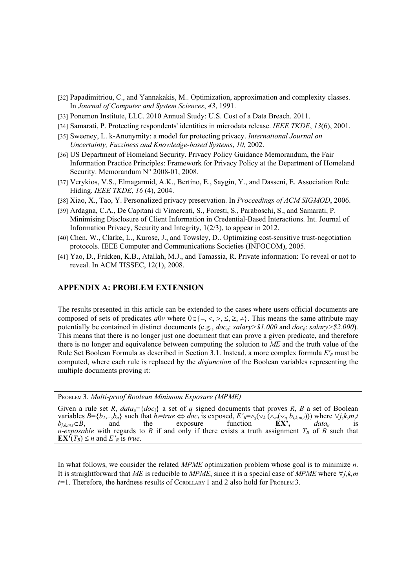- [32] Papadimitriou, C., and Yannakakis, M.. Optimization, approximation and complexity classes. In *Journal of Computer and System Sciences*, *43*, 1991.
- [33] Ponemon Institute, LLC. 2010 Annual Study: U.S. Cost of a Data Breach. 2011.
- [34] Samarati, P. Protecting respondents' identities in microdata release. *IEEE TKDE*, *13*(6), 2001.
- [35] Sweeney, L. k-Anonymity: a model for protecting privacy. *International Journal on Uncertainty, Fuzziness and Knowledge-based Systems*, *10*, 2002.
- [36] US Department of Homeland Security. Privacy Policy Guidance Memorandum, the Fair Information Practice Principles: Framework for Privacy Policy at the Department of Homeland Security. Memorandum N° 2008-01, 2008.
- [37] Verykios, V.S., Elmagarmid, A.K., Bertino, E., Saygin, Y., and Dasseni, E. Association Rule Hiding. *IEEE TKDE*, *16* (4), 2004.
- [38] Xiao, X., Tao, Y. Personalized privacy preservation. In *Proceedings of ACM SIGMOD*, 2006.
- [39] Ardagna, C.A., De Capitani di Vimercati, S., Foresti, S., Paraboschi, S., and Samarati, P. Minimising Disclosure of Client Information in Credential-Based Interactions. Int. Journal of Information Privacy, Security and Integrity, 1(2/3), to appear in 2012.
- [40] Chen, W., Clarke, L., Kurose, J., and Towsley, D.. Optimizing cost-sensitive trust-negotiation protocols. IEEE Computer and Communications Societies (INFOCOM), 2005.
- [41] Yao, D., Frikken, K.B., Atallah, M.J., and Tamassia, R. Private information: To reveal or not to reveal. In ACM TISSEC, 12(1), 2008.

## **APPENDIX A: PROBLEM EXTENSION**

The results presented in this article can be extended to the cases where users official documents are composed of sets of predicates  $a\theta v$  where  $\theta \in \{ =, <, >, \leq, \geq \}$ . This means the same attribute may potentially be contained in distinct documents (e.g., *doca*: *salary>\$1.000* and *docb*: *salary>\$2.000*). This means that there is no longer just one document that can prove a given predicate, and therefore there is no longer and equivalence between computing the solution to *ME* and the truth value of the Rule Set Boolean Formula as described in Section 3.1. Instead, a more complex formula *E'R* must be computed, where each rule is replaced by the *disjunction* of the Boolean variables representing the multiple documents proving it:

PROBLEM 3. *Multi-proof Boolean Minimum Exposure (MPME)* 

Given a rule set *R*,  $data_u = \{doc_i\}$  a set of *q* signed documents that proves *R*, *B* a set of Boolean variables  $B = \{b_1, ..., b_q\}$  such that  $b_i$ =*true*  $\Leftrightarrow doc_i$  is exposed,  $E'_R = \land_j(\lor_k(\land_m(\lor_q b_{j,k,m,t})))$  where  $\forall j, k, m, t$  $b_{j,k,m,t} \in B$ , and the exposure function  $EX^2$ , *data<sub>u</sub>* is *n-exposable* with regards to *R* if and only if there exists a truth assignment  $T_B$  of *B* such that  $EX^{\bullet}(T_B) \leq n$  and *E'<sub>R</sub>* is *true*.

In what follows, we consider the related *MPME* optimization problem whose goal is to minimize *n*. It is straightforward that *ME* is reducible to *MPME*, since it is a special case of *MPME* where  $\forall j, k, m$ *t=*1. Therefore, the hardness results of COROLLARY 1 and 2 also hold for PROBLEM 3.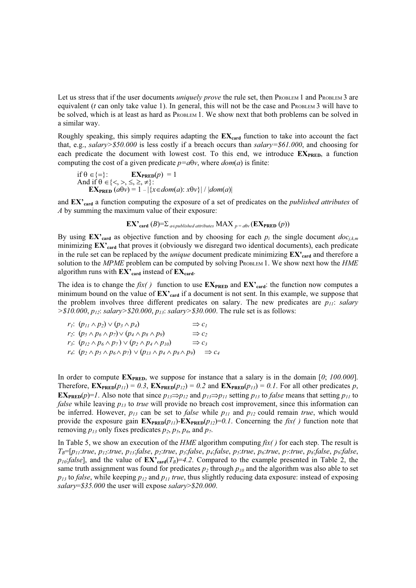Let us stress that if the user documents *uniquely prove* the rule set, then PROBLEM 1 and PROBLEM 3 are equivalent  $(t \text{ can only take value 1})$ . In general, this will not be the case and PROBLEM 3 will have to be solved, which is at least as hard as PROBLEM 1. We show next that both problems can be solved in a similar way.

Roughly speaking, this simply requires adapting the  $EX_{\text{card}}$  function to take into account the fact that, e.g., *salary>\$50.000* is less costly if a breach occurs than *salary=\$61.000*, and choosing for each predicate the document with lowest cost. To this end, we introduce  $EX_{PRED}$ , a function computing the cost of a given predicate  $p = a\theta v$ , where  $dom(a)$  is finite:

if 
$$
\theta \in \{\equiv\}
$$
: 
$$
\mathbf{EX}_{\text{PRED}}(p) = 1
$$
  
And if  $\theta \in \{\leq, >, \leq, \geq, \neq\}$ :  

$$
\mathbf{EX}_{\text{PRED}}(a\theta v) = 1 - |\{\text{x} \in \text{dom}(a): x\theta v\}| / |\text{dom}(a)|
$$

and **EX'card** a function computing the exposure of a set of predicates on the *published attributes* of *A* by summing the maximum value of their exposure:

**EX'**<sub>card</sub> (*B*)=
$$
\Sigma
$$
<sub>*a epublished attributes*</sub> MAX <sub>*p* = *a* $\theta$ <sub>*v*</sub> (**EX**<sub>**PRED**</sub> (*p*))</sub>

By using  $EX_{\text{card}}$  as objective function and by choosing for each  $p_i$  the single document  $doc_{i,k,m}$ minimizing **EX'card** that proves it (obviously we disregard two identical documents), each predicate in the rule set can be replaced by the *unique* document predicate minimizing  $EX'_{\text{card}}$  and therefore a solution to the *MPME* problem can be computed by solving PROBLEM 1. We show next how the *HME* algorithm runs with  $EX_{\text{card}}$  instead of  $EX_{\text{card}}$ .

The idea is to change the  $fix()$  function to use  $EX_{PRED}$  and  $EX_{card}$ : the function now computes a minimum bound on the value of **EX'card** if a document is not sent. In this example, we suppose that the problem involves three different predicates on salary. The new predicates are  $p_{11}$ : *salary >\$10.000*, *p12*: *salary>\$20.000*, *p13*: *salary>\$30.000*. The rule set is as follows:

$$
r_1: (p_{11} \wedge p_2) \vee (p_3 \wedge p_4) \Rightarrow c_1
$$
  
\n
$$
r_2: (p_5 \wedge p_6 \wedge p_7) \vee (p_4 \wedge p_8 \wedge p_9) \Rightarrow c_2
$$
  
\n
$$
r_3: (p_{12} \wedge p_6 \wedge p_7) \vee (p_2 \wedge p_4 \wedge p_{10}) \Rightarrow c_3
$$
  
\n
$$
r_4: (p_2 \wedge p_5 \wedge p_6 \wedge p_7) \vee (p_{13} \wedge p_4 \wedge p_8 \wedge p_9) \Rightarrow c_4
$$

In order to compute  $EX_{PRED}$ , we suppose for instance that a salary is in the domain [0; 100.000]. Therefore,  $\mathbf{EX}_{\mathbf{PRED}}(p_{11}) = 0.3$ ,  $\mathbf{EX}_{\mathbf{PRED}}(p_{12}) = 0.2$  and  $\mathbf{EX}_{\mathbf{PRED}}(p_{13}) = 0.1$ . For all other predicates p, **EX**<sub>PRED</sub> $(p)=1$ . Also note that since  $p_{13} \Rightarrow p_{12}$  and  $p_{13} \Rightarrow p_{11}$  setting  $p_{13}$  to *false* means that setting  $p_{11}$  to *false* while leaving *p13* to *true* will provide no breach cost improvement, since this information can be inferred. However, *p13* can be set to *false* while *p11* and *p12* could remain *true*, which would provide the exposure gain  $\mathbf{EX}_{\text{PRED}}(p_{11})-\mathbf{EX}_{\text{PRED}}(p_{12})=0.1$ . Concerning the *fix()* function note that removing  $p_{13}$  only fixes predicates  $p_2$ ,  $p_5$ ,  $p_6$ , and  $p_7$ .

In Table 5, we show an execution of the *HME* algorithm computing *fix( )* for each step. The result is  $T_B=[p_{11}:true, p_{12}:true, p_{13}:false, p_{2}:true, p_{3}:false, p_{4}:false, p_{5}:true, p_{6}:true, p_{7}:true, p_{8}:false, p_{9}:false, p_{1}:true, p_{1}:true, p_{1}:true, p_{1}:true, p_{1}:true, p_{1}:true, p_{2}:true, p_{2}:true, p_{3}:true, p_{4}:true, p_{5}:true, p_{6}:true, p_{7}:true, p_{8}:true, p_{9}:false, p_{1}:true, p_{1}:true, p_{1}:true, p_{1}:true, p_{1}:true, p_{1}:true, p_{2}:true, p_{2}:true, p_{1}:true, p_{2}:$  $p_{10}$ :*false*], and the value of  $EX_{\text{card}}(T_B)=4.2$ . Compared to the example presented in Table 2, the same truth assignment was found for predicates  $p_2$  through  $p_{10}$  and the algorithm was also able to set  $p_{13}$  to *false*, while keeping  $p_{12}$  and  $p_{11}$  *true*, thus slightly reducing data exposure: instead of exposing *salary*=*\$35.000* the user will expose *salary*>*\$20.000*.